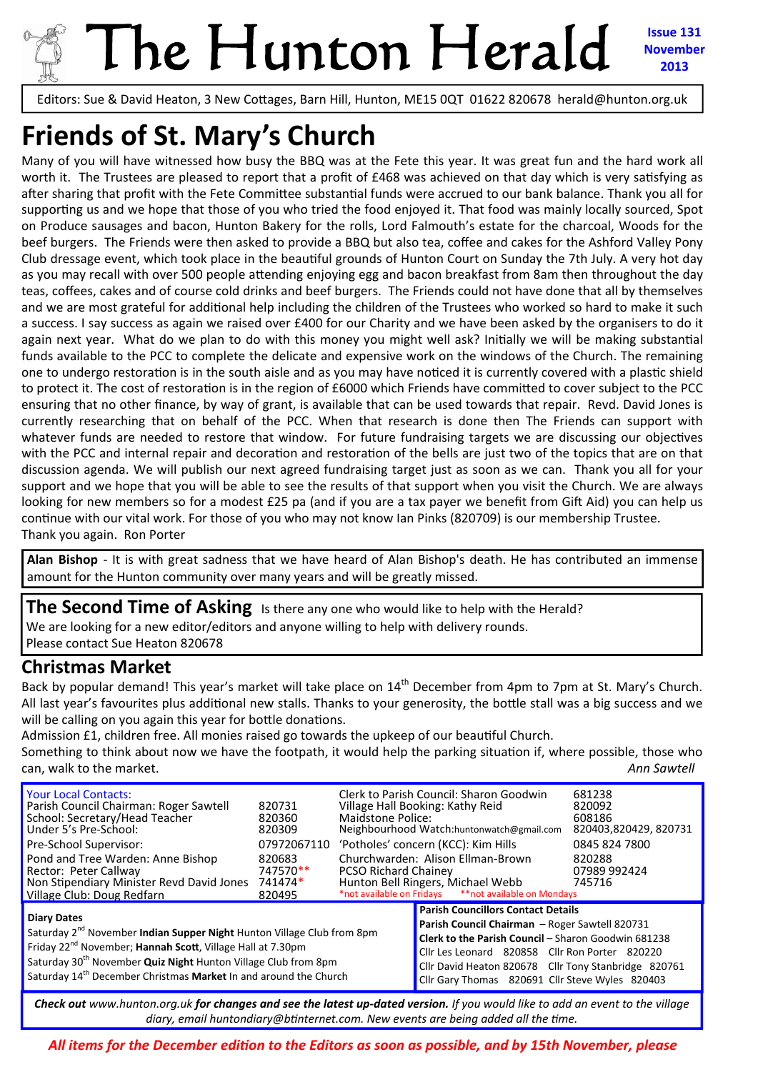

# The Hunton Herald **Issue 131 November**

**2013**

Editors: Sue & David Heaton, 3 New Cottages, Barn Hill, Hunton, ME15 0QT 01622 820678 herald@hunton.org.uk

# **Friends of St. Mary's Church**

Many of you will have witnessed how busy the BBQ was at the Fete this year. It was great fun and the hard work all worth it. The Trustees are pleased to report that a profit of £468 was achieved on that day which is very satisfying as after sharing that profit with the Fete Committee substantial funds were accrued to our bank balance. Thank you all for supporting us and we hope that those of you who tried the food enjoyed it. That food was mainly locally sourced, Spot on Produce sausages and bacon, Hunton Bakery for the rolls, Lord Falmouth's estate for the charcoal, Woods for the beef burgers. The Friends were then asked to provide a BBQ but also tea, coffee and cakes for the Ashford Valley Pony Club dressage event, which took place in the beautiful grounds of Hunton Court on Sunday the 7th July. A very hot day as you may recall with over 500 people attending enjoying egg and bacon breakfast from 8am then throughout the day teas, coffees, cakes and of course cold drinks and beef burgers. The Friends could not have done that all by themselves and we are most grateful for additional help including the children of the Trustees who worked so hard to make it such a success. I say success as again we raised over £400 for our Charity and we have been asked by the organisers to do it again next year. What do we plan to do with this money you might well ask? Initially we will be making substantial funds available to the PCC to complete the delicate and expensive work on the windows of the Church. The remaining one to undergo restoration is in the south aisle and as you may have noticed it is currently covered with a plastic shield to protect it. The cost of restoration is in the region of £6000 which Friends have committed to cover subject to the PCC ensuring that no other finance, by way of grant, is available that can be used towards that repair. Revd. David Jones is currently researching that on behalf of the PCC. When that research is done then The Friends can support with whatever funds are needed to restore that window. For future fundraising targets we are discussing our objectives with the PCC and internal repair and decoration and restoration of the bells are just two of the topics that are on that discussion agenda. We will publish our next agreed fundraising target just as soon as we can. Thank you all for your support and we hope that you will be able to see the results of that support when you visit the Church. We are always looking for new members so for a modest £25 pa (and if you are a tax payer we benefit from Gift Aid) you can help us continue with our vital work. For those of you who may not know Ian Pinks (820709) is our membership Trustee. Thank you again. Ron Porter

**Alan Bishop** ‐ It is with great sadness that we have heard of Alan Bishop's death. He has contributed an immense amount for the Hunton community over many years and will be greatly missed.

**The Second Time of Asking** Is there any one who would like to help with the Herald? We are looking for a new editor/editors and anyone willing to help with delivery rounds. Please contact Sue Heaton 820678

#### **Christmas Market**

Back by popular demand! This year's market will take place on 14<sup>th</sup> December from 4pm to 7pm at St. Mary's Church. All last year's favourites plus additional new stalls. Thanks to your generosity, the bottle stall was a big success and we will be calling on you again this year for bottle donations.

Admission £1, children free. All monies raised go towards the upkeep of our beautiful Church. Something to think about now we have the footpath, it would help the parking situation if, where possible, those who can, walk to the market.  **Example 20** and the market of the market of the market of the market of the market of the market of the market of the market of the market of the market of the market of the market of the market

| <b>Your Local Contacts:</b><br>Parish Council Chairman: Roger Sawtell<br>School: Secretary/Head Teacher<br>Under 5's Pre-School:<br>Pre-School Supervisor:<br>Pond and Tree Warden: Anne Bishop<br>Rector: Peter Callway<br>Non Stipendiary Minister Revd David Jones<br>Village Club: Doug Redfarn                                                     | 820731<br>820360<br>820309<br>07972067110<br>820683<br>747570**<br>741474*<br>820495 | Maidstone Police:<br><b>PCSO Richard Chainey</b>                                                                                                                                                                                                                                                                | Clerk to Parish Council: Sharon Goodwin<br>Village Hall Booking: Kathy Reid<br>Neighbourhood Watch:huntonwatch@gmail.com<br>'Potholes' concern (KCC): Kim Hills<br>Churchwarden: Alison Ellman-Brown<br>Hunton Bell Ringers, Michael Webb<br>*not available on Fridays ** not available on Mondays | 681238<br>820092<br>608186<br>820403,820429, 820731<br>0845 824 7800<br>820288<br>07989 992424<br>745716 |
|---------------------------------------------------------------------------------------------------------------------------------------------------------------------------------------------------------------------------------------------------------------------------------------------------------------------------------------------------------|--------------------------------------------------------------------------------------|-----------------------------------------------------------------------------------------------------------------------------------------------------------------------------------------------------------------------------------------------------------------------------------------------------------------|----------------------------------------------------------------------------------------------------------------------------------------------------------------------------------------------------------------------------------------------------------------------------------------------------|----------------------------------------------------------------------------------------------------------|
| <b>Diary Dates</b><br>Saturday 2 <sup>nd</sup> November <b>Indian Supper Night</b> Hunton Village Club from 8pm<br>Friday 22 <sup>nd</sup> November; Hannah Scott, Village Hall at 7.30pm<br>Saturday 30 <sup>th</sup> November Quiz Night Hunton Village Club from 8pm<br>Saturday 14 <sup>th</sup> December Christmas Market In and around the Church |                                                                                      | <b>Parish Councillors Contact Details</b><br>Parish Council Chairman - Roger Sawtell 820731<br>Clerk to the Parish Council - Sharon Goodwin 681238<br>Cllr Les Leonard 820858 Cllr Ron Porter 820220<br>Cllr David Heaton 820678 Cllr Tony Stanbridge 820761<br>Cllr Gary Thomas 820691 Cllr Steve Wyles 820403 |                                                                                                                                                                                                                                                                                                    |                                                                                                          |

Check out www.hunton.org.uk for changes and see the latest up-dated version. If you would like to add an event to the village *diary, email huntondiary@bƟnternet.com. New events are being added all the Ɵme.*

*All items for the December ediƟon to the Editors as soon as possible, and by 15th November, please*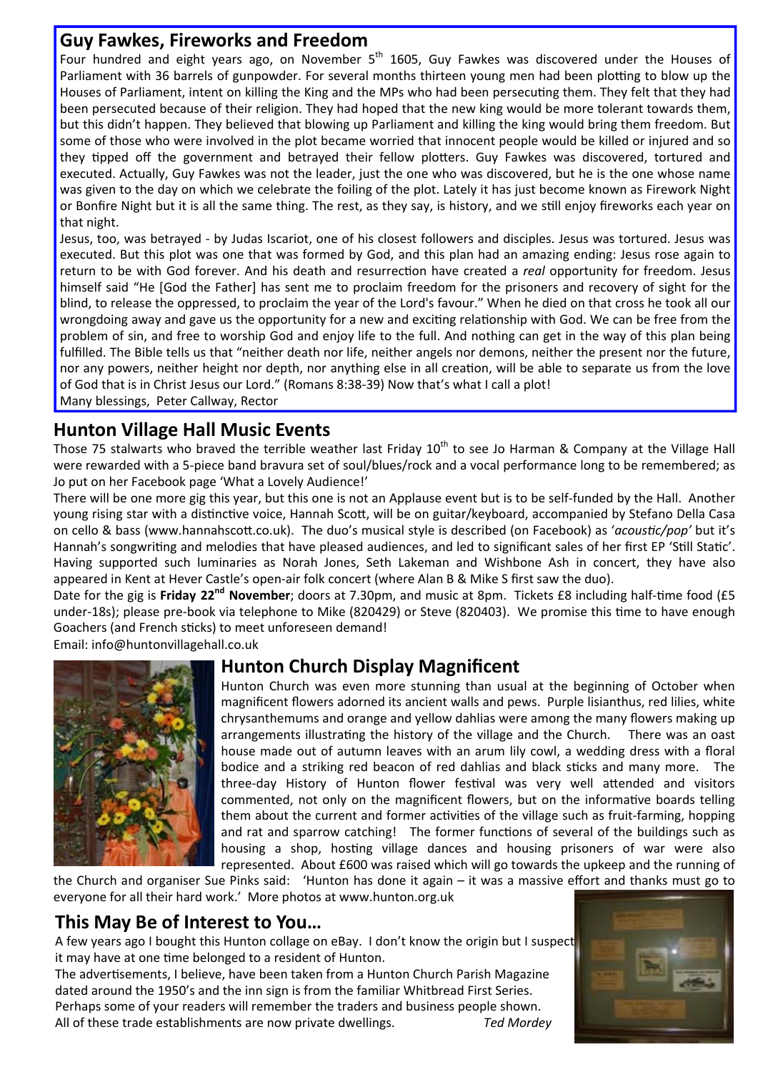#### **Guy Fawkes, Fireworks and Freedom**

Four hundred and eight years ago, on November  $5<sup>th</sup>$  1605, Guy Fawkes was discovered under the Houses of Parliament with 36 barrels of gunpowder. For several months thirteen young men had been plotting to blow up the Houses of Parliament, intent on killing the King and the MPs who had been persecuting them. They felt that they had been persecuted because of their religion. They had hoped that the new king would be more tolerant towards them, but this didn't happen. They believed that blowing up Parliament and killing the king would bring them freedom. But some of those who were involved in the plot became worried that innocent people would be killed or injured and so they tipped off the government and betrayed their fellow plotters. Guy Fawkes was discovered, tortured and executed. Actually, Guy Fawkes was not the leader, just the one who was discovered, but he is the one whose name was given to the day on which we celebrate the foiling of the plot. Lately it has just become known as Firework Night or Bonfire Night but it is all the same thing. The rest, as they say, is history, and we still enjoy fireworks each year on that night.

Jesus, too, was betrayed ‐ by Judas Iscariot, one of his closest followers and disciples. Jesus was tortured. Jesus was executed. But this plot was one that was formed by God, and this plan had an amazing ending: Jesus rose again to return to be with God forever. And his death and resurrection have created a *real* opportunity for freedom. Jesus himself said "He [God the Father] has sent me to proclaim freedom for the prisoners and recovery of sight for the blind, to release the oppressed, to proclaim the year of the Lord's favour." When he died on that cross he took all our wrongdoing away and gave us the opportunity for a new and exciting relationship with God. We can be free from the problem of sin, and free to worship God and enjoy life to the full. And nothing can get in the way of this plan being fulfilled. The Bible tells us that "neither death nor life, neither angels nor demons, neither the present nor the future, nor any powers, neither height nor depth, nor anything else in all creation, will be able to separate us from the love of God that is in Christ Jesus our Lord." (Romans 8:38‐39) Now that's what I call a plot!

Many blessings, Peter Callway, Rector

#### **Hunton Village Hall Music Events**

Those 75 stalwarts who braved the terrible weather last Friday  $10^{th}$  to see Jo Harman & Company at the Village Hall were rewarded with a 5‐piece band bravura set of soul/blues/rock and a vocal performance long to be remembered; as Jo put on her Facebook page 'What a Lovely Audience!'

There will be one more gig this year, but this one is not an Applause event but is to be self-funded by the Hall. Another young rising star with a distinctive voice. Hannah Scott, will be on guitar/keyboard, accompanied by Stefano Della Casa on cello & bass (www.hannahscoƩ.co.uk). The duo's musical style is described (on Facebook) as '*acousƟc/pop'* but it's Hannah's songwriting and melodies that have pleased audiences, and led to significant sales of her first EP 'Still Static'. Having supported such luminaries as Norah Jones, Seth Lakeman and Wishbone Ash in concert, they have also appeared in Kent at Hever Castle's open‐air folk concert (where Alan B & Mike S first saw the duo).

Date for the gig is **Friday 22<sup>nd</sup> November**; doors at 7.30pm, and music at 8pm. Tickets £8 including half-time food (£5 under-18s); please pre-book via telephone to Mike (820429) or Steve (820403). We promise this time to have enough Goachers (and French sticks) to meet unforeseen demand!

Email: info@huntonvillagehall.co.uk



## **Hunton Church Display Magnificent**

Hunton Church was even more stunning than usual at the beginning of October when magnificent flowers adorned its ancient walls and pews. Purple lisianthus, red lilies, white chrysanthemums and orange and yellow dahlias were among the many flowers making up arrangements illustrating the history of the village and the Church. There was an oast house made out of autumn leaves with an arum lily cowl, a wedding dress with a floral bodice and a striking red beacon of red dahlias and black sticks and many more. The three-day History of Hunton flower festival was very well attended and visitors commented, not only on the magnificent flowers, but on the informative boards telling them about the current and former activities of the village such as fruit-farming, hopping and rat and sparrow catching! The former functions of several of the buildings such as housing a shop, hosting village dances and housing prisoners of war were also represented. About £600 was raised which will go towards the upkeep and the running of

the Church and organiser Sue Pinks said: 'Hunton has done it again – it was a massive effort and thanks must go to everyone for all their hard work.' More photos at www.hunton.org.uk

## **This May Be of Interest to You…**

A few years ago I bought this Hunton collage on eBay. I don't know the origin but I suspect it may have at one time belonged to a resident of Hunton.

The advertisements, I believe, have been taken from a Hunton Church Parish Magazine dated around the 1950's and the inn sign is from the familiar Whitbread First Series. Perhaps some of your readers will remember the traders and business people shown. All of these trade establishments are now private dwellings. *Ted Mordey*

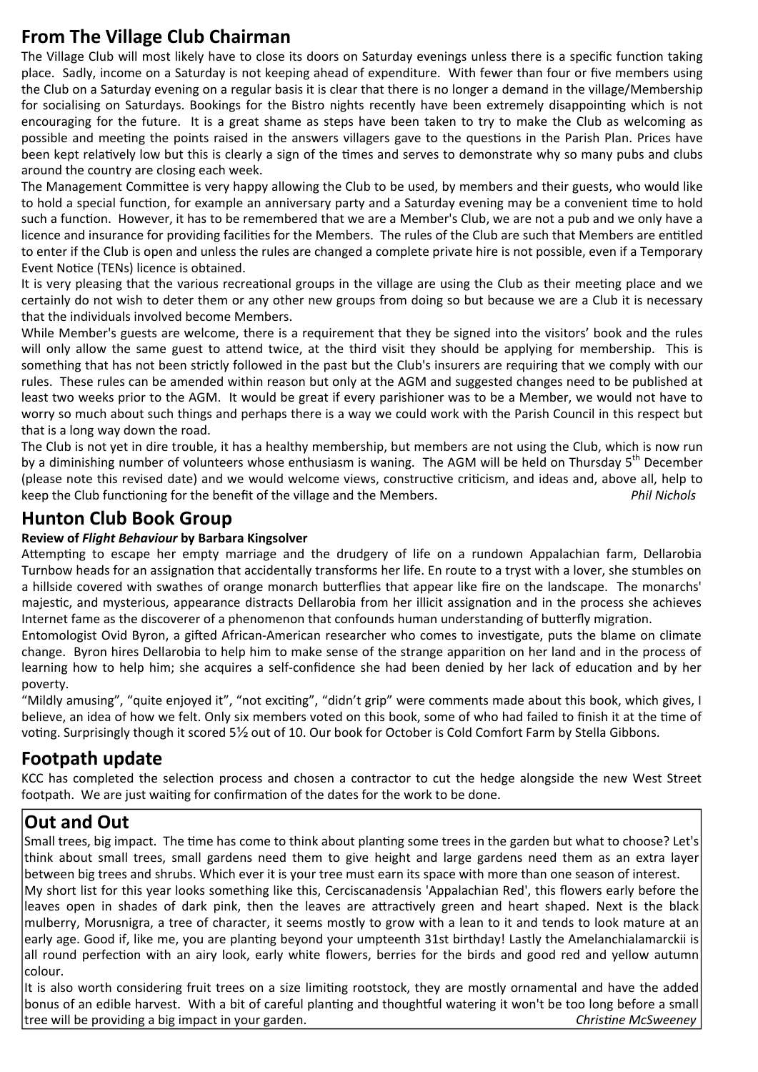# **From The Village Club Chairman**

The Village Club will most likely have to close its doors on Saturday evenings unless there is a specific function taking place. Sadly, income on a Saturday is not keeping ahead of expenditure. With fewer than four or five members using the Club on a Saturday evening on a regular basis it is clear that there is no longer a demand in the village/Membership for socialising on Saturdays. Bookings for the Bistro nights recently have been extremely disappointing which is not encouraging for the future. It is a great shame as steps have been taken to try to make the Club as welcoming as possible and meeting the points raised in the answers villagers gave to the questions in the Parish Plan. Prices have been kept relatively low but this is clearly a sign of the times and serves to demonstrate why so many pubs and clubs around the country are closing each week.

The Management Committee is very happy allowing the Club to be used, by members and their guests, who would like to hold a special function, for example an anniversary party and a Saturday evening may be a convenient time to hold such a function. However, it has to be remembered that we are a Member's Club, we are not a pub and we only have a licence and insurance for providing facilities for the Members. The rules of the Club are such that Members are entitled to enter if the Club is open and unless the rules are changed a complete private hire is not possible, even if a Temporary Event Notice (TENs) licence is obtained.

It is very pleasing that the various recreational groups in the village are using the Club as their meeting place and we certainly do not wish to deter them or any other new groups from doing so but because we are a Club it is necessary that the individuals involved become Members.

While Member's guests are welcome, there is a requirement that they be signed into the visitors' book and the rules will only allow the same guest to attend twice, at the third visit they should be applying for membership. This is something that has not been strictly followed in the past but the Club's insurers are requiring that we comply with our rules. These rules can be amended within reason but only at the AGM and suggested changes need to be published at least two weeks prior to the AGM. It would be great if every parishioner was to be a Member, we would not have to worry so much about such things and perhaps there is a way we could work with the Parish Council in this respect but that is a long way down the road.

The Club is not yet in dire trouble, it has a healthy membership, but members are not using the Club, which is now run by a diminishing number of volunteers whose enthusiasm is waning. The AGM will be held on Thursday 5<sup>th</sup> December (please note this revised date) and we would welcome views, constructive criticism, and ideas and, above all, help to keep the Club functioning for the benefit of the village and the Members. *Phil Nichols* 

## **Hunton Club Book Group**

#### **Review of** *Flight Behaviour* **by Barbara Kingsolver**

Attempting to escape her empty marriage and the drudgery of life on a rundown Appalachian farm. Dellarobia Turnbow heads for an assignation that accidentally transforms her life. En route to a tryst with a lover, she stumbles on a hillside covered with swathes of orange monarch butterflies that appear like fire on the landscape. The monarchs' majestic, and mysterious, appearance distracts Dellarobia from her illicit assignation and in the process she achieves Internet fame as the discoverer of a phenomenon that confounds human understanding of butterfly migration.

Entomologist Ovid Byron, a gifted African-American researcher who comes to investigate, puts the blame on climate change. Byron hires Dellarobia to help him to make sense of the strange apparition on her land and in the process of learning how to help him; she acquires a self-confidence she had been denied by her lack of education and by her poverty.

"Mildly amusing", "quite enjoyed it", "not exciting", "didn't grip" were comments made about this book, which gives, I believe, an idea of how we felt. Only six members voted on this book, some of who had failed to finish it at the time of voting. Surprisingly though it scored 5½ out of 10. Our book for October is Cold Comfort Farm by Stella Gibbons.

#### **Footpath update**

KCC has completed the selection process and chosen a contractor to cut the hedge alongside the new West Street footpath. We are just waiting for confirmation of the dates for the work to be done.

## **Out and Out**

Small trees, big impact. The time has come to think about planting some trees in the garden but what to choose? Let's think about small trees, small gardens need them to give height and large gardens need them as an extra layer between big trees and shrubs. Which ever it is your tree must earn its space with more than one season of interest.

My short list for this year looks something like this, Cerciscanadensis 'Appalachian Red', this flowers early before the leaves open in shades of dark pink, then the leaves are attractively green and heart shaped. Next is the black mulberry, Morusnigra, a tree of character, it seems mostly to grow with a lean to it and tends to look mature at an early age. Good if, like me, you are planting beyond your umpteenth 31st birthday! Lastly the Amelanchialamarckii is all round perfection with an airy look, early white flowers, berries for the birds and good red and yellow autumn colour.

It is also worth considering fruit trees on a size limiting rootstock, they are mostly ornamental and have the added bonus of an edible harvest. With a bit of careful planting and thoughtful watering it won't be too long before a small tree will be providing a big impact in your garden. *ChrisƟne McSweeney*